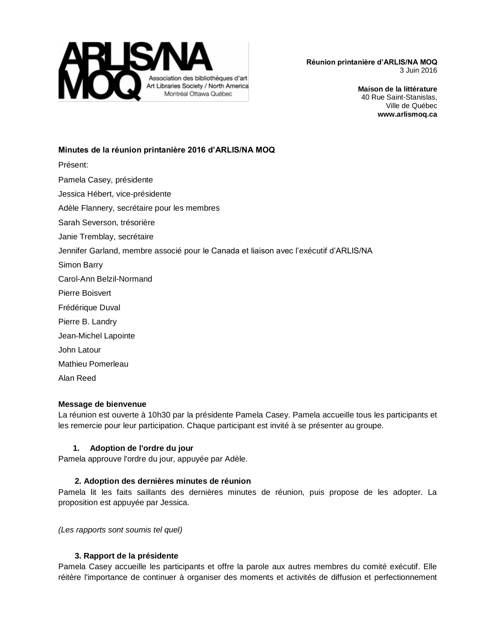

> **Maison de la littérature** 40 Rue Saint-Stanislas, Ville de Québec **www.arlismoq.ca**

## **Minutes de la réunion printanière 2016 d'ARLIS/NA MOQ**

- Présent:
- Pamela Casey, présidente
- Jessica Hébert, vice-présidente
- Adèle Flannery, secrétaire pour les membres
- Sarah Severson, trésorière
- Janie Tremblay, secrétaire
- Jennifer Garland, membre associé pour le Canada et liaison avec l'exécutif d'ARLIS/NA
- Simon Barry
- Carol-Ann Belzil-Normand
- Pierre Boisvert
- Frédérique Duval
- Pierre B. Landry
- Jean-Michel Lapointe
- John Latour
- Mathieu Pomerleau
- Alan Reed

## **Message de bienvenue**

La réunion est ouverte à 10h30 par la présidente Pamela Casey. Pamela accueille tous les participants et les remercie pour leur participation. Chaque participant est invité à se présenter au groupe.

## **1. Adoption de l'ordre du jour**

Pamela approuve l'ordre du jour, appuyée par Adèle.

# **2. Adoption des dernières minutes de réunion**

Pamela lit les faits saillants des dernières minutes de réunion, puis propose de les adopter. La proposition est appuyée par Jessica.

*(Les rapports sont soumis tel quel)*

## **3. Rapport de la présidente**

Pamela Casey accueille les participants et offre la parole aux autres membres du comité exécutif. Elle réitère l'importance de continuer à organiser des moments et activités de diffusion et perfectionnement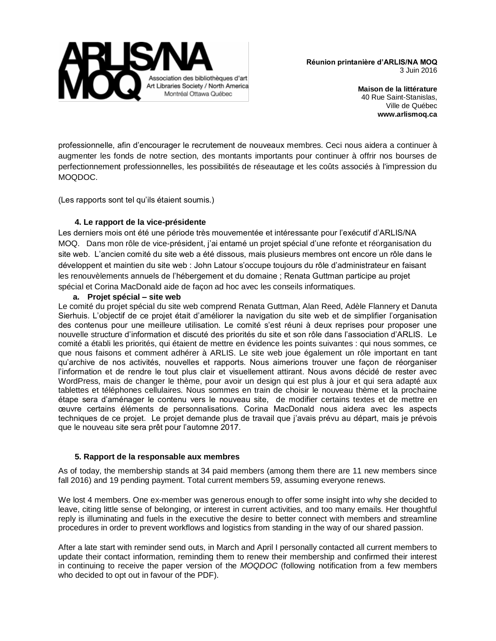

> **Maison de la littérature** 40 Rue Saint-Stanislas, Ville de Québec **www.arlismoq.ca**

professionnelle, afin d'encourager le recrutement de nouveaux membres. Ceci nous aidera a continuer à augmenter les fonds de notre section, des montants importants pour continuer à offrir nos bourses de perfectionnement professionnelles, les possibilités de réseautage et les coûts associés à l'impression du MOQDOC.

(Les rapports sont tel qu'ils étaient soumis.)

## **4. Le rapport de la vice-présidente**

Les derniers mois ont été une période très mouvementée et intéressante pour l'exécutif d'ARLIS/NA MOQ. Dans mon rôle de vice-président, j'ai entamé un projet spécial d'une refonte et réorganisation du site web. L'ancien comité du site web a été dissous, mais plusieurs membres ont encore un rôle dans le développent et maintien du site web : John Latour s'occupe toujours du rôle d'administrateur en faisant les renouvèlements annuels de l'hébergement et du domaine ; Renata Guttman participe au projet spécial et Corina MacDonald aide de façon ad hoc avec les conseils informatiques.

#### **a. Projet spécial – site web**

Le comité du projet spécial du site web comprend Renata Guttman, Alan Reed, Adèle Flannery et Danuta Sierhuis. L'objectif de ce projet était d'améliorer la navigation du site web et de simplifier l'organisation des contenus pour une meilleure utilisation. Le comité s'est réuni à deux reprises pour proposer une nouvelle structure d'information et discuté des priorités du site et son rôle dans l'association d'ARLIS. Le comité a établi les priorités, qui étaient de mettre en évidence les points suivantes : qui nous sommes, ce que nous faisons et comment adhérer à ARLIS. Le site web joue également un rôle important en tant qu'archive de nos activités, nouvelles et rapports. Nous aimerions trouver une façon de réorganiser l'information et de rendre le tout plus clair et visuellement attirant. Nous avons décidé de rester avec WordPress, mais de changer le thème, pour avoir un design qui est plus à jour et qui sera adapté aux tablettes et téléphones cellulaires. Nous sommes en train de choisir le nouveau thème et la prochaine étape sera d'aménager le contenu vers le nouveau site, de modifier certains textes et de mettre en œuvre certains éléments de personnalisations. Corina MacDonald nous aidera avec les aspects techniques de ce projet. Le projet demande plus de travail que j'avais prévu au départ, mais je prévois que le nouveau site sera prêt pour l'automne 2017.

#### **5. Rapport de la responsable aux membres**

As of today, the membership stands at 34 paid members (among them there are 11 new members since fall 2016) and 19 pending payment. Total current members 59, assuming everyone renews.

We lost 4 members. One ex-member was generous enough to offer some insight into why she decided to leave, citing little sense of belonging, or interest in current activities, and too many emails. Her thoughtful reply is illuminating and fuels in the executive the desire to better connect with members and streamline procedures in order to prevent workflows and logistics from standing in the way of our shared passion.

After a late start with reminder send outs, in March and April I personally contacted all current members to update their contact information, reminding them to renew their membership and confirmed their interest in continuing to receive the paper version of the *MOQDOC* (following notification from a few members who decided to opt out in favour of the PDF).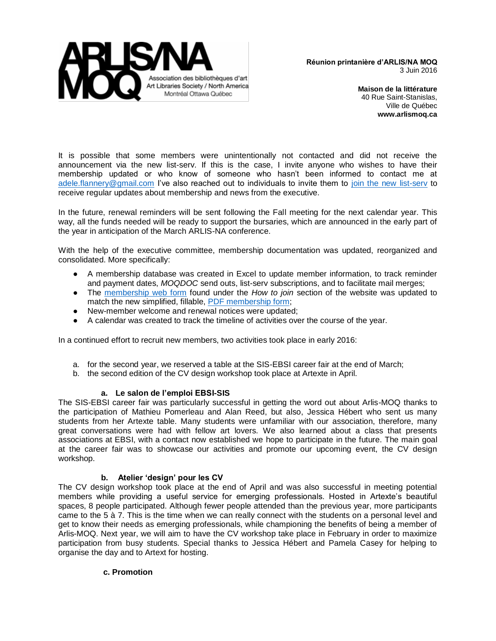

> **Maison de la littérature** 40 Rue Saint-Stanislas, Ville de Québec **www.arlismoq.ca**

It is possible that some members were unintentionally not contacted and did not receive the announcement via the new list-serv. If this is the case, I invite anyone who wishes to have their membership updated or who know of someone who hasn't been informed to contact me at [adele.flannery@gmail.com](mailto:adele.flannery@gmail.com) I've also reached out to individuals to invite them to [join the new list-serv](http://www.arlismoq.ca/nouveau-listserv-liste-de-diffusion/langswitch_lang/en/) to receive regular updates about membership and news from the executive.

In the future, renewal reminders will be sent following the Fall meeting for the next calendar year. This way, all the funds needed will be ready to support the bursaries, which are announced in the early part of the year in anticipation of the March ARLIS-NA conference.

With the help of the executive committee, membership documentation was updated, reorganized and consolidated. More specifically:

- A membership database was created in Excel to update member information, to track reminder and payment dates, *MOQDOC* send outs, list-serv subscriptions, and to facilitate mail merges;
- The [membership web form](http://www.arlismoq.ca/formulaire-dadhesion/langswitch_lang/en/) found under the *How to join* section of the website was updated to match the new simplified, fillable, [PDF membership form;](http://www.arlismoq.ca/wp-content/uploads/2016/04/2016_adh%C3%A9sion_membership_FR_EN.pdf)
- New-member welcome and renewal notices were updated;
- A calendar was created to track the timeline of activities over the course of the year.

In a continued effort to recruit new members, two activities took place in early 2016:

- a. for the second year, we reserved a table at the SIS-EBSI career fair at the end of March;
- b. the second edition of the CV design workshop took place at Artexte in April.

#### **a. Le salon de l'emploi EBSI-SIS**

The SIS-EBSI career fair was particularly successful in getting the word out about Arlis-MOQ thanks to the participation of Mathieu Pomerleau and Alan Reed, but also, Jessica Hébert who sent us many students from her Artexte table. Many students were unfamiliar with our association, therefore, many great conversations were had with fellow art lovers. We also learned about a class that presents associations at EBSI, with a contact now established we hope to participate in the future. The main goal at the career fair was to showcase our activities and promote our upcoming event, the CV design workshop.

#### **b. Atelier 'design' pour les CV**

The CV design workshop took place at the end of April and was also successful in meeting potential members while providing a useful service for emerging professionals. Hosted in Artexte's beautiful spaces, 8 people participated. Although fewer people attended than the previous year, more participants came to the 5 à 7. This is the time when we can really connect with the students on a personal level and get to know their needs as emerging professionals, while championing the benefits of being a member of Arlis-MOQ. Next year, we will aim to have the CV workshop take place in February in order to maximize participation from busy students. Special thanks to Jessica Hébert and Pamela Casey for helping to organise the day and to Artext for hosting.

#### **c. Promotion**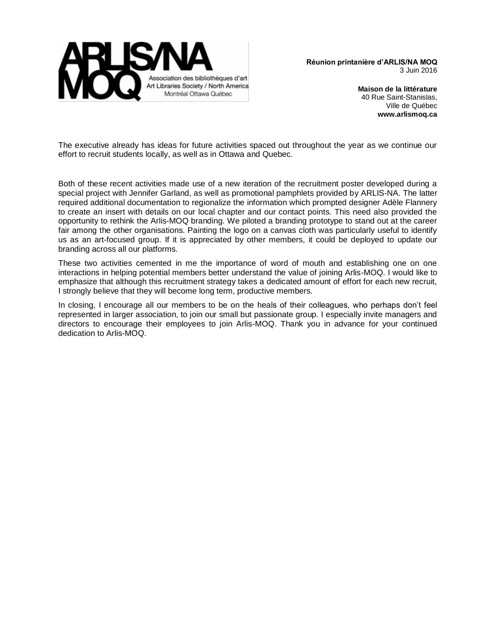

> **Maison de la littérature** 40 Rue Saint-Stanislas, Ville de Québec **www.arlismoq.ca**

The executive already has ideas for future activities spaced out throughout the year as we continue our effort to recruit students locally, as well as in Ottawa and Quebec.

Both of these recent activities made use of a new iteration of the recruitment poster developed during a special project with Jennifer Garland, as well as promotional pamphlets provided by ARLIS-NA. The latter required additional documentation to regionalize the information which prompted designer Adèle Flannery to create an insert with details on our local chapter and our contact points. This need also provided the opportunity to rethink the Arlis-MOQ branding. We piloted a branding prototype to stand out at the career fair among the other organisations. Painting the logo on a canvas cloth was particularly useful to identify us as an art-focused group. If it is appreciated by other members, it could be deployed to update our branding across all our platforms.

These two activities cemented in me the importance of word of mouth and establishing one on one interactions in helping potential members better understand the value of joining Arlis-MOQ. I would like to emphasize that although this recruitment strategy takes a dedicated amount of effort for each new recruit, I strongly believe that they will become long term, productive members.

In closing, I encourage all our members to be on the heals of their colleagues, who perhaps don't feel represented in larger association, to join our small but passionate group. I especially invite managers and directors to encourage their employees to join Arlis-MOQ. Thank you in advance for your continued dedication to Arlis-MOQ.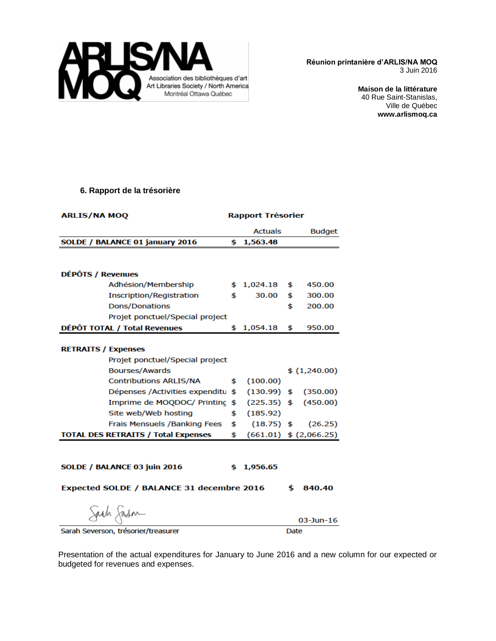

> **Maison de la littérature** 40 Rue Saint-Stanislas, Ville de Québec **www.arlismoq.ca**

#### **6. Rapport de la trésorière**

| <b>ARLIS/NA MOQ</b>                        | <b>Rapport Trésorier</b> |                |    |                            |
|--------------------------------------------|--------------------------|----------------|----|----------------------------|
|                                            |                          | <b>Actuals</b> |    | <b>Budget</b>              |
| SOLDE / BALANCE 01 january 2016            | \$                       | 1,563.48       |    |                            |
|                                            |                          |                |    |                            |
|                                            |                          |                |    |                            |
| DÉPÔTS / Revenues                          |                          |                |    |                            |
| Adhésion/Membership                        |                          | \$1,024.18     | \$ | 450.00                     |
| Inscription/Registration                   | \$                       | 30.00          | \$ | 300.00                     |
| <b>Dons/Donations</b>                      |                          |                | \$ | 200.00                     |
| Projet ponctuel/Special project            |                          |                |    |                            |
| DÉPÔT TOTAL / Total Revenues               |                          | \$1,054.18     | \$ | 950.00                     |
|                                            |                          |                |    |                            |
| <b>RETRAITS / Expenses</b>                 |                          |                |    |                            |
| Projet ponctuel/Special project            |                          |                |    |                            |
| <b>Bourses/Awards</b>                      |                          |                |    | \$(1,240.00)               |
| <b>Contributions ARLIS/NA</b>              | \$                       | (100.00)       |    |                            |
| Dépenses /Activities expenditu             | \$                       |                |    | $(130.99)$ \$ $(350.00)$   |
| Imprime de MOQDOC/ Printing                | \$                       |                |    | $(225.35)$ \$ $(450.00)$   |
| Site web/Web hosting                       | \$                       | (185.92)       |    |                            |
| Frais Mensuels / Banking Fees              | \$                       | $(18.75)$ \$   |    | (26.25)                    |
| <b>TOTAL DES RETRAITS / Total Expenses</b> | \$                       |                |    | $(661.01)$ \$ $(2,066.25)$ |
|                                            |                          |                |    |                            |
|                                            |                          |                |    |                            |
| SOLDE / BALANCE 03 juin 2016               | \$                       | 1,956.65       |    |                            |
|                                            |                          |                |    |                            |
| Expected SOLDE / BALANCE 31 decembre 2016  |                          |                | \$ | 840.40                     |
| Sach Jasm                                  |                          |                |    |                            |
|                                            |                          |                |    |                            |

Sam Ja  $03$ -Jun-16 Sarah Severson, trésorier/treasurer Date

Presentation of the actual expenditures for January to June 2016 and a new column for our expected or budgeted for revenues and expenses.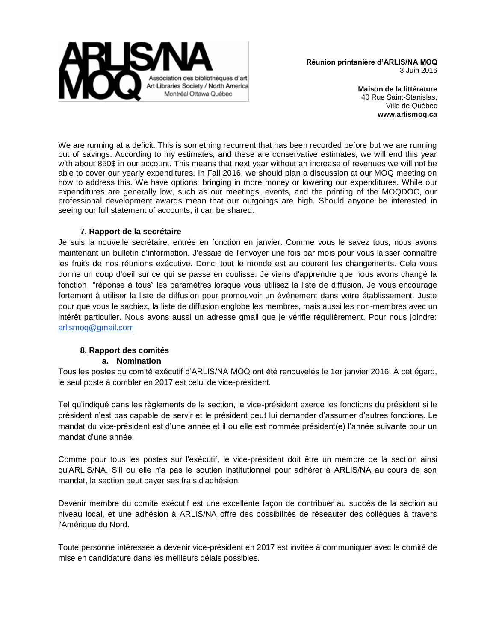

> **Maison de la littérature** 40 Rue Saint-Stanislas, Ville de Québec **www.arlismoq.ca**

We are running at a deficit. This is something recurrent that has been recorded before but we are running out of savings. According to my estimates, and these are conservative estimates, we will end this year with about 850\$ in our account. This means that next year without an increase of revenues we will not be able to cover our yearly expenditures. In Fall 2016, we should plan a discussion at our MOQ meeting on how to address this. We have options: bringing in more money or lowering our expenditures. While our expenditures are generally low, such as our meetings, events, and the printing of the MOQDOC, our professional development awards mean that our outgoings are high. Should anyone be interested in seeing our full statement of accounts, it can be shared.

## **7. Rapport de la secrétaire**

Je suis la nouvelle secrétaire, entrée en fonction en janvier. Comme vous le savez tous, nous avons maintenant un bulletin d'information. J'essaie de l'envoyer une fois par mois pour vous laisser connaître les fruits de nos réunions exécutive. Donc, tout le monde est au courent les changements. Cela vous donne un coup d'oeil sur ce qui se passe en coulisse. Je viens d'apprendre que nous avons changé la fonction "réponse à tous" les paramètres lorsque vous utilisez la liste de diffusion. Je vous encourage fortement à utiliser la liste de diffusion pour promouvoir un événement dans votre établissement. Juste pour que vous le sachiez, la liste de diffusion englobe les membres, mais aussi les non-membres avec un intérêt particulier. Nous avons aussi un adresse gmail que je vérifie régulièrement. Pour nous joindre: [arlismoq@gmail.com](mailto:arlismoq@gmail.com)

# **8. Rapport des comités**

## **a. Nomination**

Tous les postes du comité exécutif d'ARLIS/NA MOQ ont été renouvelés le 1er janvier 2016. À cet égard, le seul poste à combler en 2017 est celui de vice-président.

Tel qu'indiqué dans les règlements de la section, le vice-président exerce les fonctions du président si le président n'est pas capable de servir et le président peut lui demander d'assumer d'autres fonctions. Le mandat du vice-président est d'une année et il ou elle est nommée président(e) l'année suivante pour un mandat d'une année.

Comme pour tous les postes sur l'exécutif, le vice-président doit être un membre de la section ainsi qu'ARLIS/NA. S'il ou elle n'a pas le soutien institutionnel pour adhérer à ARLIS/NA au cours de son mandat, la section peut payer ses frais d'adhésion.

Devenir membre du comité exécutif est une excellente façon de contribuer au succès de la section au niveau local, et une adhésion à ARLIS/NA offre des possibilités de réseauter des collègues à travers l'Amérique du Nord.

Toute personne intéressée à devenir vice-président en 2017 est invitée à communiquer avec le comité de mise en candidature dans les meilleurs délais possibles.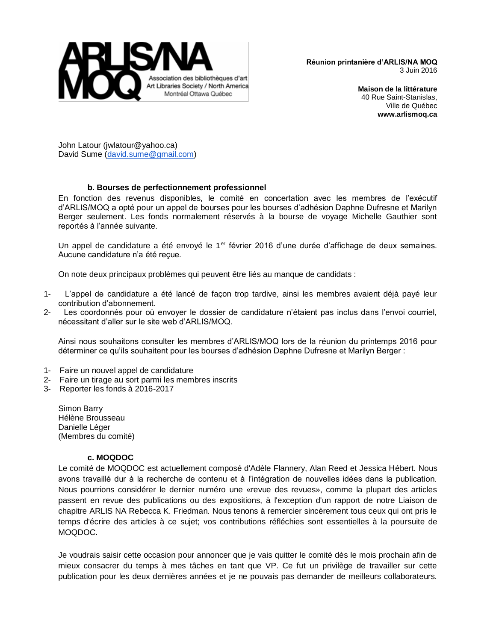

> **Maison de la littérature** 40 Rue Saint-Stanislas, Ville de Québec **www.arlismoq.ca**

John Latour (jwlatour@yahoo.ca) David Sume [\(david.sume@gmail.com\)](mailto:david.sume@gmail.com)

#### **b. Bourses de perfectionnement professionnel**

En fonction des revenus disponibles, le comité en concertation avec les membres de l'exécutif d'ARLIS/MOQ a opté pour un appel de bourses pour les bourses d'adhésion Daphne Dufresne et Marilyn Berger seulement. Les fonds normalement réservés à la bourse de voyage Michelle Gauthier sont reportés à l'année suivante.

Un appel de candidature a été envoyé le 1<sup>er</sup> février 2016 d'une durée d'affichage de deux semaines. Aucune candidature n'a été reçue.

On note deux principaux problèmes qui peuvent être liés au manque de candidats :

- 1- L'appel de candidature a été lancé de façon trop tardive, ainsi les membres avaient déjà payé leur contribution d'abonnement.
- 2- Les coordonnés pour où envoyer le dossier de candidature n'étaient pas inclus dans l'envoi courriel, nécessitant d'aller sur le site web d'ARLIS/MOQ.

Ainsi nous souhaitons consulter les membres d'ARLIS/MOQ lors de la réunion du printemps 2016 pour déterminer ce qu'ils souhaitent pour les bourses d'adhésion Daphne Dufresne et Marilyn Berger :

- 1- Faire un nouvel appel de candidature
- 2- Faire un tirage au sort parmi les membres inscrits
- 3- Reporter les fonds à 2016-2017

Simon Barry Hélène Brousseau Danielle Léger (Membres du comité)

#### **c. MOQDOC**

Le comité de MOQDOC est actuellement composé d'Adèle Flannery, Alan Reed et Jessica Hébert. Nous avons travaillé dur à la recherche de contenu et à l'intégration de nouvelles idées dans la publication. Nous pourrions considérer le dernier numéro une «revue des revues», comme la plupart des articles passent en revue des publications ou des expositions, à l'exception d'un rapport de notre Liaison de chapitre ARLIS NA Rebecca K. Friedman. Nous tenons à remercier sincèrement tous ceux qui ont pris le temps d'écrire des articles à ce sujet; vos contributions réfléchies sont essentielles à la poursuite de MOQDOC.

Je voudrais saisir cette occasion pour annoncer que je vais quitter le comité dès le mois prochain afin de mieux consacrer du temps à mes tâches en tant que VP. Ce fut un privilège de travailler sur cette publication pour les deux dernières années et je ne pouvais pas demander de meilleurs collaborateurs.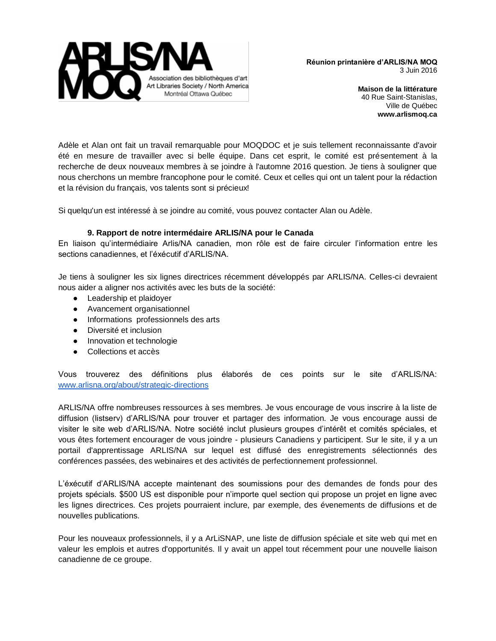

> **Maison de la littérature** 40 Rue Saint-Stanislas, Ville de Québec **www.arlismoq.ca**

Adèle et Alan ont fait un travail remarquable pour MOQDOC et je suis tellement reconnaissante d'avoir été en mesure de travailler avec si belle équipe. Dans cet esprit, le comité est présentement à la recherche de deux nouveaux membres à se joindre à l'automne 2016 question. Je tiens à souligner que nous cherchons un membre francophone pour le comité. Ceux et celles qui ont un talent pour la rédaction et la révision du français, vos talents sont si précieux!

Si quelqu'un est intéressé à se joindre au comité, vous pouvez contacter Alan ou Adèle.

#### **9. Rapport de notre intermédaire ARLIS/NA pour le Canada**

En liaison qu'intermédiaire Arlis/NA canadien, mon rôle est de faire circuler l'information entre les sections canadiennes, et l'éxécutif d'ARLIS/NA.

Je tiens à souligner les six lignes directrices récemment développés par ARLIS/NA. Celles-ci devraient nous aider a aligner nos activités avec les buts de la société:

- Leadership et plaidoyer
- Avancement organisationnel
- Informations professionnels des arts
- Diversité et inclusion
- Innovation et technologie
- Collections et accès

Vous trouverez des définitions plus élaborés de ces points sur le site d'ARLIS/NA: [www.arlisna.org/about/strategic-directions](http://www.arlisna.org/about/strategic-directions)

ARLIS/NA offre nombreuses ressources à ses membres. Je vous encourage de vous inscrire à la liste de diffusion (listserv) d'ARLIS/NA pour trouver et partager des information. Je vous encourage aussi de visiter le site web d'ARLIS/NA. Notre société inclut plusieurs groupes d'intérêt et comités spéciales, et vous êtes fortement encourager de vous joindre - plusieurs Canadiens y participent. Sur le site, il y a un portail d'apprentissage ARLIS/NA sur lequel est diffusé des enregistrements sélectionnés des conférences passées, des webinaires et des activités de perfectionnement professionnel.

L'éxécutif d'ARLIS/NA accepte maintenant des soumissions pour des demandes de fonds pour des projets spécials. \$500 US est disponible pour n'importe quel section qui propose un projet en ligne avec les lignes directrices. Ces projets pourraient inclure, par exemple, des évenements de diffusions et de nouvelles publications.

Pour les nouveaux professionnels, il y a ArLiSNAP, une liste de diffusion spéciale et site web qui met en valeur les emplois et autres d'opportunités. Il y avait un appel tout récemment pour une nouvelle liaison canadienne de ce groupe.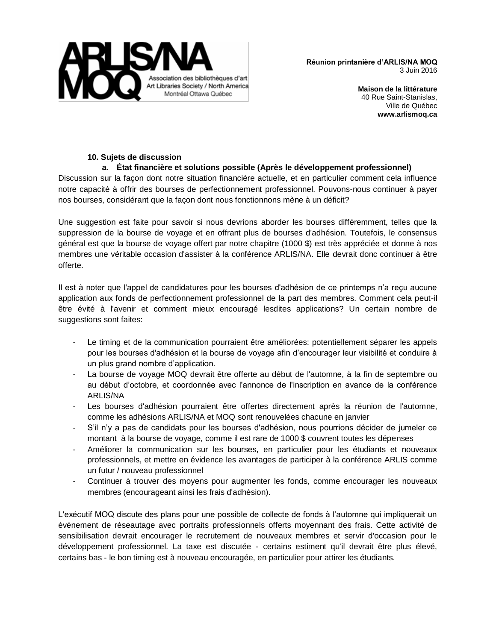

> **Maison de la littérature** 40 Rue Saint-Stanislas, Ville de Québec **www.arlismoq.ca**

# **10. Sujets de discussion**

# **a. État financière et solutions possible (Après le développement professionnel)**

Discussion sur la façon dont notre situation financière actuelle, et en particulier comment cela influence notre capacité à offrir des bourses de perfectionnement professionnel. Pouvons-nous continuer à payer nos bourses, considérant que la façon dont nous fonctionnons mène à un déficit?

Une suggestion est faite pour savoir si nous devrions aborder les bourses différemment, telles que la suppression de la bourse de voyage et en offrant plus de bourses d'adhésion. Toutefois, le consensus général est que la bourse de voyage offert par notre chapitre (1000 \$) est très appréciée et donne à nos membres une véritable occasion d'assister à la conférence ARLIS/NA. Elle devrait donc continuer à être offerte.

Il est à noter que l'appel de candidatures pour les bourses d'adhésion de ce printemps n'a reçu aucune application aux fonds de perfectionnement professionnel de la part des membres. Comment cela peut-il être évité à l'avenir et comment mieux encouragé lesdites applications? Un certain nombre de suggestions sont faites:

- Le timing et de la communication pourraient être améliorées: potentiellement séparer les appels pour les bourses d'adhésion et la bourse de voyage afin d'encourager leur visibilité et conduire à un plus grand nombre d'application.
- La bourse de voyage MOQ devrait être offerte au début de l'automne, à la fin de septembre ou au début d'octobre, et coordonnée avec l'annonce de l'inscription en avance de la conférence ARLIS/NA
- Les bourses d'adhésion pourraient être offertes directement après la réunion de l'automne, comme les adhésions ARLIS/NA et MOQ sont renouvelées chacune en janvier
- S'il n'y a pas de candidats pour les bourses d'adhésion, nous pourrions décider de jumeler ce montant à la bourse de voyage, comme il est rare de 1000 \$ couvrent toutes les dépenses
- Améliorer la communication sur les bourses, en particulier pour les étudiants et nouveaux professionnels, et mettre en évidence les avantages de participer à la conférence ARLIS comme un futur / nouveau professionnel
- Continuer à trouver des moyens pour augmenter les fonds, comme encourager les nouveaux membres (encourageant ainsi les frais d'adhésion).

L'exécutif MOQ discute des plans pour une possible de collecte de fonds à l'automne qui impliquerait un événement de réseautage avec portraits professionnels offerts moyennant des frais. Cette activité de sensibilisation devrait encourager le recrutement de nouveaux membres et servir d'occasion pour le développement professionnel. La taxe est discutée - certains estiment qu'il devrait être plus élevé, certains bas - le bon timing est à nouveau encouragée, en particulier pour attirer les étudiants.